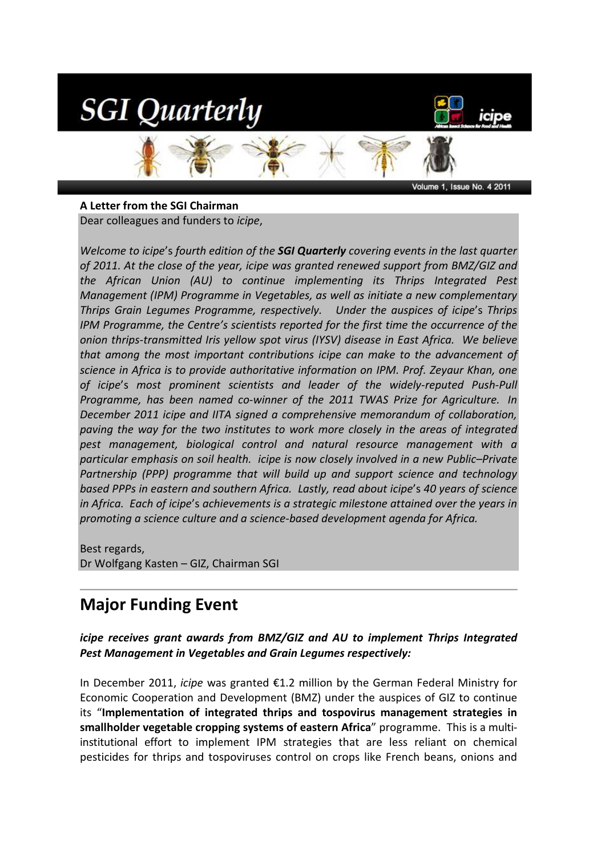

#### **A Letter from the SGI Chairman**

Volume 1, Issue No. 4 2011

Dear colleagues and funders to *icipe*,

*Welcome to icipe*'s *fourth edition of the SGI Quarterly covering events in the last quarter of 2011. At the close of the year, icipe was granted renewed support from BMZ/GIZ and the African Union (AU) to continue implementing its Thrips Integrated Pest Management (IPM) Programme in Vegetables, as well as initiate a new complementary Thrips Grain Legumes Programme, respectively. Under the auspices of icipe*'s *Thrips IPM Programme, the Centre's scientists reported for the first time the occurrence of the onion thrips-transmitted Iris yellow spot virus (IYSV) disease in East Africa. We believe that among the most important contributions icipe can make to the advancement of science in Africa is to provide authoritative information on IPM. Prof. Zeyaur Khan, one of icipe*'s *most prominent scientists and leader of the widely-reputed Push-Pull Programme, has been named co-winner of the 2011 TWAS Prize for Agriculture. In December 2011 icipe and IITA signed a comprehensive memorandum of collaboration, paving the way for the two institutes to work more closely in the areas of integrated pest management, biological control and natural resource management with a particular emphasis on soil health. icipe is now closely involved in a new Public–Private Partnership (PPP) programme that will build up and support science and technology based PPPs in eastern and southern Africa. Lastly, read about icipe*'s *40 years of science in Africa. Each of icipe*'s *achievements is a strategic milestone attained over the years in promoting a science culture and a science-based development agenda for Africa.* 

Best regards, Dr Wolfgang Kasten – GIZ, Chairman SGI

## **Major Funding Event**

*icipe receives grant awards from BMZ/GIZ and AU to implement Thrips Integrated Pest Management in Vegetables and Grain Legumes respectively:*

In December 2011, *icipe* was granted €1.2 million by the German Federal Ministry for Economic Cooperation and Development (BMZ) under the auspices of GIZ to continue its "**Implementation of integrated thrips and tospovirus management strategies in smallholder vegetable cropping systems of eastern Africa**" programme. This is a multiinstitutional effort to implement IPM strategies that are less reliant on chemical pesticides for thrips and tospoviruses control on crops like French beans, onions and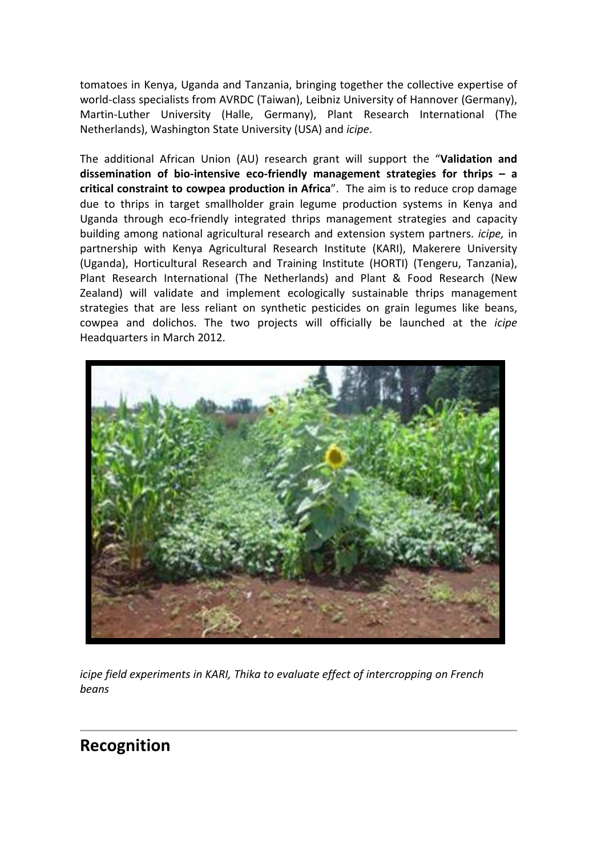tomatoes in Kenya, Uganda and Tanzania, bringing together the collective expertise of world-class specialists from AVRDC (Taiwan), Leibniz University of Hannover (Germany), Martin-Luther University (Halle, Germany), Plant Research International (The Netherlands), Washington State University (USA) and *icipe*.

The additional African Union (AU) research grant will support the "**Validation and dissemination of bio-intensive eco-friendly management strategies for thrips – a critical constraint to cowpea production in Africa**". The aim is to reduce crop damage due to thrips in target smallholder grain legume production systems in Kenya and Uganda through eco-friendly integrated thrips management strategies and capacity building among national agricultural research and extension system partners. *icipe,* in partnership with Kenya Agricultural Research Institute (KARI), Makerere University (Uganda), Horticultural Research and Training Institute (HORTI) (Tengeru, Tanzania), Plant Research International (The Netherlands) and Plant & Food Research (New Zealand) will validate and implement ecologically sustainable thrips management strategies that are less reliant on synthetic pesticides on grain legumes like beans, cowpea and dolichos. The two projects will officially be launched at the *icipe* Headquarters in March 2012.



*icipe field experiments in KARI, Thika to evaluate effect of intercropping on French beans* 

## **Recognition**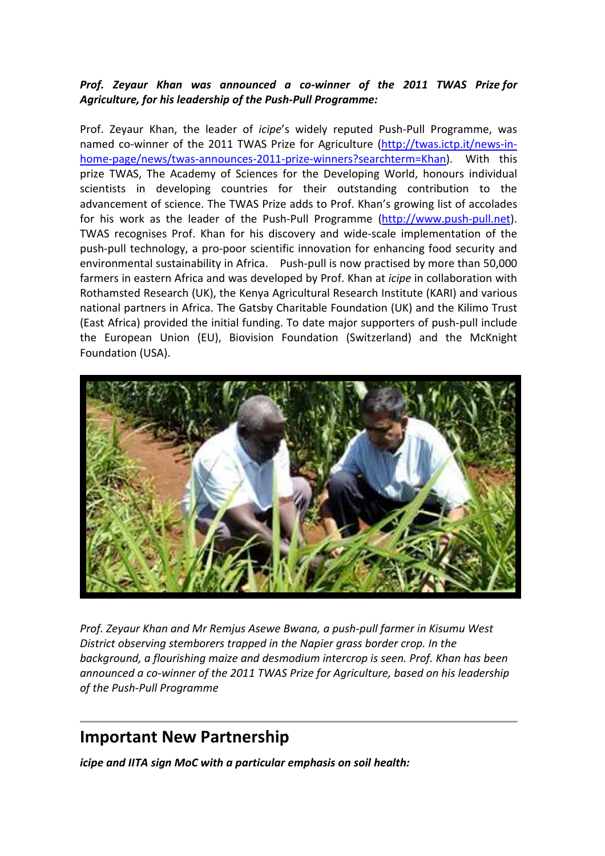### *Prof. Zeyaur Khan was announced a co-winner of the 2011 TWAS Prize for Agriculture, for his leadership of the Push-Pull Programme:*

Prof. Zeyaur Khan, the leader of *icipe*'s widely reputed Push-Pull Programme, was named co-winner of the 2011 TWAS Prize for Agriculture (http://twas.ictp.it/news-inhome-page/news/twas-announces-2011-prize-winners?searchterm=Khan). With this prize TWAS, The Academy of Sciences for the Developing World, honours individual scientists in developing countries for their outstanding contribution to the advancement of science. The TWAS Prize adds to Prof. Khan's growing list of accolades for his work as the leader of the Push-Pull Programme (http://www.push-pull.net). TWAS recognises Prof. Khan for his discovery and wide-scale implementation of the push-pull technology, a pro-poor scientific innovation for enhancing food security and environmental sustainability in Africa. Push-pull is now practised by more than 50,000 farmers in eastern Africa and was developed by Prof. Khan at *icipe* in collaboration with Rothamsted Research (UK), the Kenya Agricultural Research Institute (KARI) and various national partners in Africa. The Gatsby Charitable Foundation (UK) and the Kilimo Trust (East Africa) provided the initial funding. To date major supporters of push-pull include the European Union (EU), Biovision Foundation (Switzerland) and the McKnight Foundation (USA).



*Prof. Zeyaur Khan and Mr Remjus Asewe Bwana, a push-pull farmer in Kisumu West District observing stemborers trapped in the Napier grass border crop. In the background, a flourishing maize and desmodium intercrop is seen. Prof. Khan has been announced a co-winner of the 2011 TWAS Prize for Agriculture, based on his leadership of the Push-Pull Programme*

# **Important New Partnership**

*icipe and IITA sign MoC with a particular emphasis on soil health:*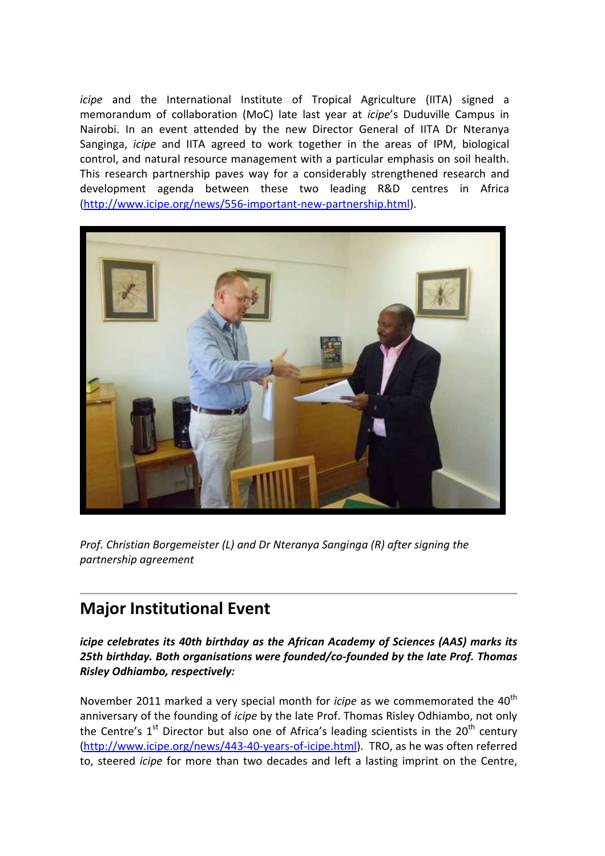*icipe* and the International Institute of Tropical Agriculture (IITA) signed a memorandum of collaboration (MoC) late last year at *icipe*'s Duduville Campus in Nairobi. In an event attended by the new Director General of IITA Dr Nteranya Sanginga, *icipe* and IITA agreed to work together in the areas of IPM, biological control, and natural resource management with a particular emphasis on soil health. This research partnership paves way for a considerably strengthened research and development agenda between these two leading R&D centres in Africa (http://www.icipe.org/news/556-important-new-partnership.html).



*Prof. Christian Borgemeister (L) and Dr Nteranya Sanginga (R) after signing the partnership agreement* 

## **Major Institutional Event**

*icipe celebrates its 40th birthday as the African Academy of Sciences (AAS) marks its 25th birthday. Both organisations were founded/co-founded by the late Prof. Thomas Risley Odhiambo, respectively:* 

November 2011 marked a very special month for *icipe* as we commemorated the 40<sup>th</sup> anniversary of the founding of *icipe* by the late Prof. Thomas Risley Odhiambo, not only the Centre's  $1<sup>st</sup>$  Director but also one of Africa's leading scientists in the 20<sup>th</sup> century (http://www.icipe.org/news/443-40-years-of-icipe.html). TRO, as he was often referred to, steered *icipe* for more than two decades and left a lasting imprint on the Centre,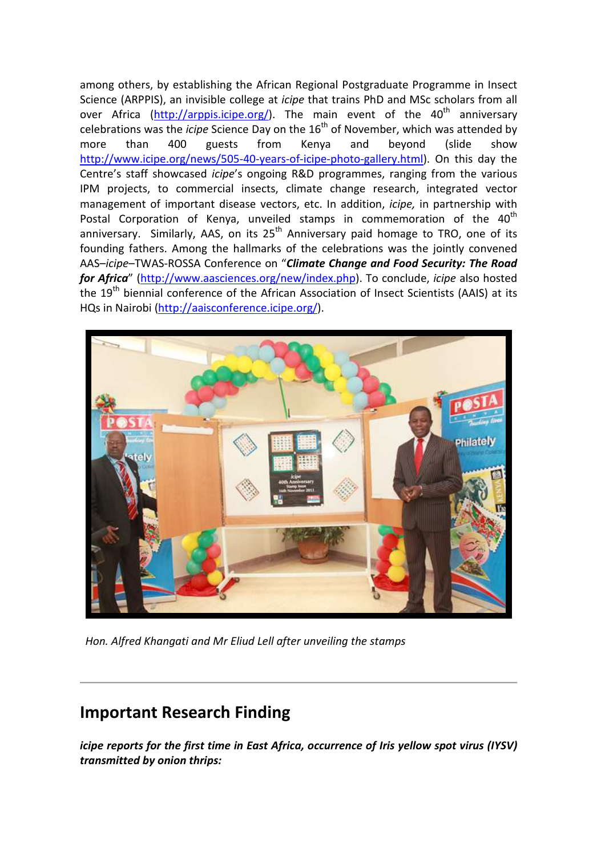among others, by establishing the African Regional Postgraduate Programme in Insect Science (ARPPIS), an invisible college at *icipe* that trains PhD and MSc scholars from all over Africa (http://arppis.icipe.org/). The main event of the 40<sup>th</sup> anniversary celebrations was the *icipe* Science Day on the 16<sup>th</sup> of November, which was attended by more than 400 guests from Kenya and beyond (slide show http://www.icipe.org/news/505-40-years-of-icipe-photo-gallery.html). On this day the Centre's staff showcased *icipe*'s ongoing R&D programmes, ranging from the various IPM projects, to commercial insects, climate change research, integrated vector management of important disease vectors, etc. In addition, *icipe,* in partnership with Postal Corporation of Kenya, unveiled stamps in commemoration of the  $40<sup>th</sup>$ anniversary. Similarly, AAS, on its 25<sup>th</sup> Anniversary paid homage to TRO, one of its founding fathers. Among the hallmarks of the celebrations was the jointly convened AAS–*icipe*–TWAS-ROSSA Conference on "*Climate Change and Food Security: The Road for Africa*" (http://www.aasciences.org/new/index.php). To conclude, *icipe* also hosted the 19<sup>th</sup> biennial conference of the African Association of Insect Scientists (AAIS) at its HQs in Nairobi (http://aaisconference.icipe.org/).



*Hon. Alfred Khangati and Mr Eliud Lell after unveiling the stamps* 

## **Important Research Finding**

*icipe reports for the first time in East Africa, occurrence of Iris yellow spot virus (IYSV) transmitted by onion thrips:*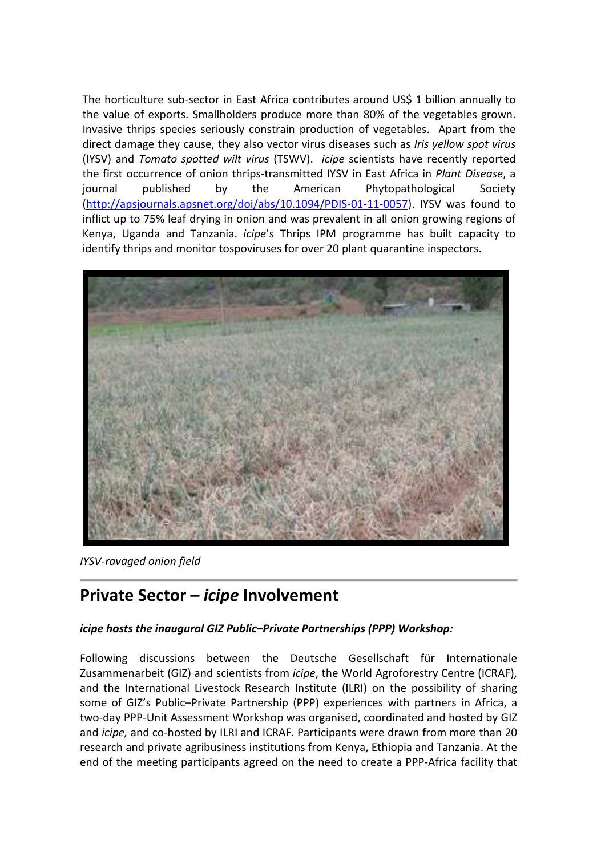The horticulture sub-sector in East Africa contributes around US\$ 1 billion annually to the value of exports. Smallholders produce more than 80% of the vegetables grown. Invasive thrips species seriously constrain production of vegetables. Apart from the direct damage they cause, they also vector virus diseases such as *Iris yellow spot virus* (IYSV) and *Tomato spotted wilt virus* (TSWV). *icipe* scientists have recently reported the first occurrence of onion thrips-transmitted IYSV in East Africa in *Plant Disease*, a journal published by the American Phytopathological Society (http://apsjournals.apsnet.org/doi/abs/10.1094/PDIS-01-11-0057). IYSV was found to inflict up to 75% leaf drying in onion and was prevalent in all onion growing regions of Kenya, Uganda and Tanzania. *icipe*'s Thrips IPM programme has built capacity to identify thrips and monitor tospoviruses for over 20 plant quarantine inspectors.



*IYSV-ravaged onion field* 

## **Private Sector –** *icipe* **Involvement**

### *icipe hosts the inaugural GIZ Public–Private Partnerships (PPP) Workshop:*

Following discussions between the Deutsche Gesellschaft für Internationale Zusammenarbeit (GIZ) and scientists from *icipe*, the World Agroforestry Centre (ICRAF), and the International Livestock Research Institute (ILRI) on the possibility of sharing some of GIZ's Public–Private Partnership (PPP) experiences with partners in Africa, a two-day PPP-Unit Assessment Workshop was organised, coordinated and hosted by GIZ and *icipe,* and co-hosted by ILRI and ICRAF. Participants were drawn from more than 20 research and private agribusiness institutions from Kenya, Ethiopia and Tanzania. At the end of the meeting participants agreed on the need to create a PPP-Africa facility that